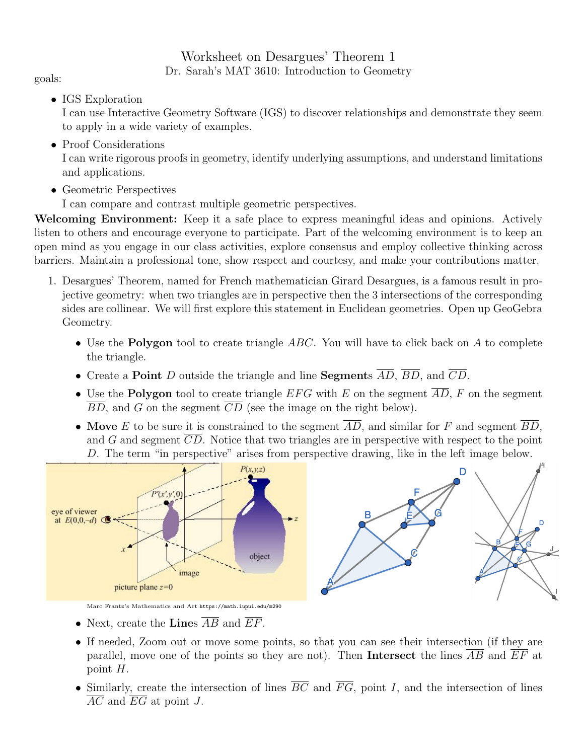## Worksheet on Desargues' Theorem 1 Dr. Sarah's MAT 3610: Introduction to Geometry goals:

• IGS Exploration

I can use Interactive Geometry Software (IGS) to discover relationships and demonstrate they seem to apply in a wide variety of examples.

• Proof Considerations

I can write rigorous proofs in geometry, identify underlying assumptions, and understand limitations and applications.

- Geometric Perspectives
	- I can compare and contrast multiple geometric perspectives.

Welcoming Environment: Keep it a safe place to express meaningful ideas and opinions. Actively listen to others and encourage everyone to participate. Part of the welcoming environment is to keep an open mind as you engage in our class activities, explore consensus and employ collective thinking across barriers. Maintain a professional tone, show respect and courtesy, and make your contributions matter.

- 1. Desargues' Theorem, named for French mathematician Girard Desargues, is a famous result in projective geometry: when two triangles are in perspective then the 3 intersections of the corresponding sides are collinear. We will first explore this statement in Euclidean geometries. Open up GeoGebra Geometry.
	- Use the **Polygon** tool to create triangle  $ABC$ . You will have to click back on A to complete the triangle.
	- Create a **Point** D outside the triangle and line **Segments**  $\overline{AD}$ ,  $\overline{BD}$ , and  $\overline{CD}$ .
	- Use the **Polygon** tool to create triangle EFG with E on the segment  $\overline{AD}$ , F on the segment  $\overline{BD}$ , and G on the segment  $\overline{CD}$  (see the image on the right below).
	- Move E to be sure it is constrained to the segment  $\overline{AD}$ , and similar for F and segment  $\overline{BD}$ , and G and segment  $\overline{CD}$ . Notice that two triangles are in perspective with respect to the point D. The term "in perspective" arises from perspective drawing, like in the left image below.



Marc Frantz's Mathematics and Art https://math.iupui.edu/m290

- Next, create the **Lines**  $AB$  and  $EF$ .
- If needed, Zoom out or move some points, so that you can see their intersection (if they are parallel, move one of the points so they are not). Then Intersect the lines AB and EF at point H.
- Similarly, create the intersection of lines  $\overline{BC}$  and  $\overline{FG}$ , point I, and the intersection of lines  $\overline{AC}$  and  $\overline{EG}$  at point J.